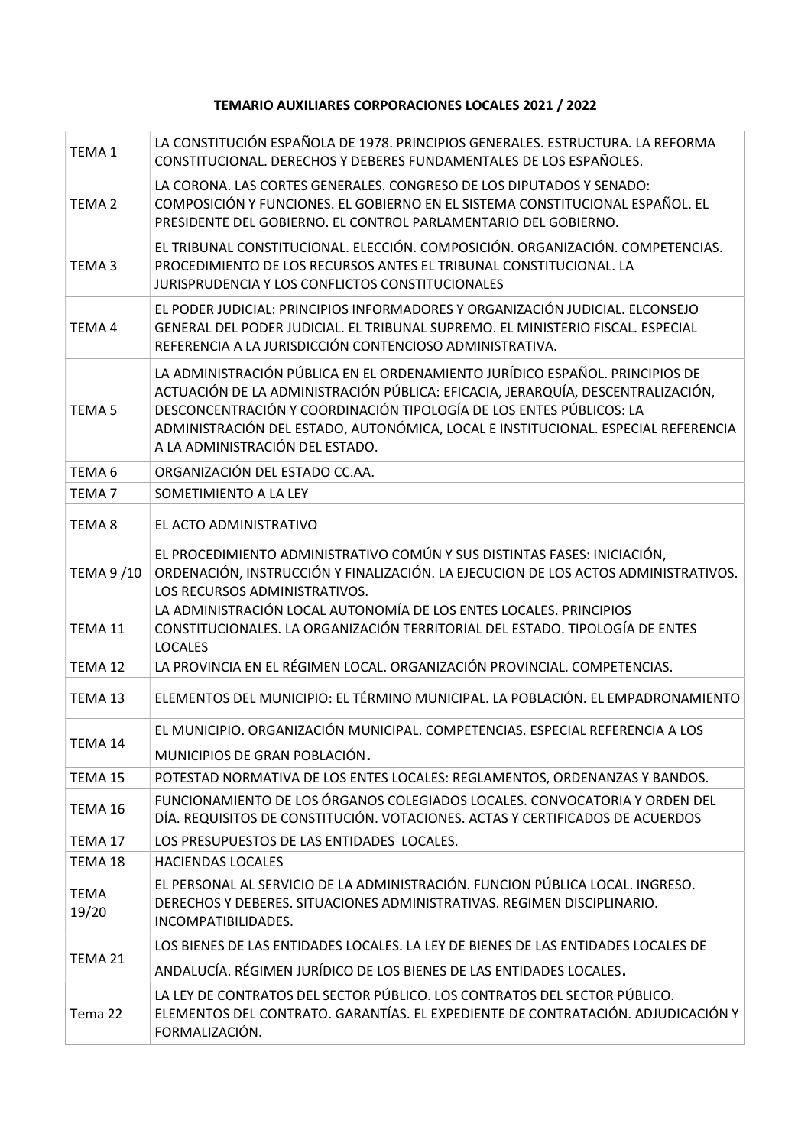## TEMARIO AUXILIARES CORPORACIONES LOCALES 2021 / 2022

| <b>TEMA1</b>         | LA CONSTITUCIÓN ESPAÑOLA DE 1978. PRINCIPIOS GENERALES. ESTRUCTURA. LA REFORMA<br>CONSTITUCIONAL. DERECHOS Y DEBERES FUNDAMENTALES DE LOS ESPAÑOLES.                                                                                                                                                                                                           |
|----------------------|----------------------------------------------------------------------------------------------------------------------------------------------------------------------------------------------------------------------------------------------------------------------------------------------------------------------------------------------------------------|
| TEMA <sub>2</sub>    | LA CORONA. LAS CORTES GENERALES. CONGRESO DE LOS DIPUTADOS Y SENADO:<br>COMPOSICIÓN Y FUNCIONES. EL GOBIERNO EN EL SISTEMA CONSTITUCIONAL ESPAÑOL. EL<br>PRESIDENTE DEL GOBIERNO. EL CONTROL PARLAMENTARIO DEL GOBIERNO.                                                                                                                                       |
| TEMA <sub>3</sub>    | EL TRIBUNAL CONSTITUCIONAL. ELECCIÓN. COMPOSICIÓN. ORGANIZACIÓN. COMPETENCIAS.<br>PROCEDIMIENTO DE LOS RECURSOS ANTES EL TRIBUNAL CONSTITUCIONAL. LA<br>JURISPRUDENCIA Y LOS CONFLICTOS CONSTITUCIONALES                                                                                                                                                       |
| TEMA4                | EL PODER JUDICIAL: PRINCIPIOS INFORMADORES Y ORGANIZACIÓN JUDICIAL. ELCONSEJO<br>GENERAL DEL PODER JUDICIAL. EL TRIBUNAL SUPREMO. EL MINISTERIO FISCAL. ESPECIAL<br>REFERENCIA A LA JURISDICCIÓN CONTENCIOSO ADMINISTRATIVA.                                                                                                                                   |
| TEMA <sub>5</sub>    | LA ADMINISTRACIÓN PÚBLICA EN EL ORDENAMIENTO JURÍDICO ESPAÑOL. PRINCIPIOS DE<br>ACTUACIÓN DE LA ADMINISTRACIÓN PÚBLICA: EFICACIA, JERARQUÍA, DESCENTRALIZACIÓN,<br>DESCONCENTRACIÓN Y COORDINACIÓN TIPOLOGÍA DE LOS ENTES PÚBLICOS: LA<br>ADMINISTRACIÓN DEL ESTADO, AUTONÓMICA, LOCAL E INSTITUCIONAL. ESPECIAL REFERENCIA<br>A LA ADMINISTRACIÓN DEL ESTADO. |
| TEMA <sub>6</sub>    | ORGANIZACIÓN DEL ESTADO CC.AA.                                                                                                                                                                                                                                                                                                                                 |
| TEMA <sub>7</sub>    | SOMETIMIENTO A LA LEY                                                                                                                                                                                                                                                                                                                                          |
| TEMA <sub>8</sub>    | EL ACTO ADMINISTRATIVO                                                                                                                                                                                                                                                                                                                                         |
| <b>TEMA 9/10</b>     | EL PROCEDIMIENTO ADMINISTRATIVO COMÚN Y SUS DISTINTAS FASES: INICIACIÓN,<br>ORDENACIÓN, INSTRUCCIÓN Y FINALIZACIÓN. LA EJECUCION DE LOS ACTOS ADMINISTRATIVOS.<br>LOS RECURSOS ADMINISTRATIVOS.                                                                                                                                                                |
| TEMA 11              | LA ADMINISTRACIÓN LOCAL AUTONOMÍA DE LOS ENTES LOCALES. PRINCIPIOS<br>CONSTITUCIONALES. LA ORGANIZACIÓN TERRITORIAL DEL ESTADO. TIPOLOGÍA DE ENTES<br><b>LOCALES</b>                                                                                                                                                                                           |
| TEMA 12              | LA PROVINCIA EN EL RÉGIMEN LOCAL. ORGANIZACIÓN PROVINCIAL. COMPETENCIAS.                                                                                                                                                                                                                                                                                       |
| TEMA 13              | ELEMENTOS DEL MUNICIPIO: EL TÉRMINO MUNICIPAL. LA POBLACIÓN. EL EMPADRONAMIENTO                                                                                                                                                                                                                                                                                |
| TEMA 14              | EL MUNICIPIO. ORGANIZACIÓN MUNICIPAL. COMPETENCIAS. ESPECIAL REFERENCIA A LOS<br>MUNICIPIOS DE GRAN POBLACIÓN.                                                                                                                                                                                                                                                 |
| TEMA 15              | POTESTAD NORMATIVA DE LOS ENTES LOCALES: REGLAMENTOS, ORDENANZAS Y BANDOS.                                                                                                                                                                                                                                                                                     |
| TEMA 16              | FUNCIONAMIENTO DE LOS ÓRGANOS COLEGIADOS LOCALES. CONVOCATORIA Y ORDEN DEL<br>DÍA. REQUISITOS DE CONSTITUCIÓN. VOTACIONES. ACTAS Y CERTIFICADOS DE ACUERDOS                                                                                                                                                                                                    |
| TEMA 17              | LOS PRESUPUESTOS DE LAS ENTIDADES LOCALES.                                                                                                                                                                                                                                                                                                                     |
| TEMA 18              | <b>HACIENDAS LOCALES</b>                                                                                                                                                                                                                                                                                                                                       |
| <b>TEMA</b><br>19/20 | EL PERSONAL AL SERVICIO DE LA ADMINISTRACIÓN. FUNCION PÚBLICA LOCAL. INGRESO.<br>DERECHOS Y DEBERES. SITUACIONES ADMINISTRATIVAS. REGIMEN DISCIPLINARIO.<br>INCOMPATIBILIDADES.                                                                                                                                                                                |
| TEMA 21              | LOS BIENES DE LAS ENTIDADES LOCALES. LA LEY DE BIENES DE LAS ENTIDADES LOCALES DE                                                                                                                                                                                                                                                                              |
|                      | ANDALUCÍA. RÉGIMEN JURÍDICO DE LOS BIENES DE LAS ENTIDADES LOCALES.                                                                                                                                                                                                                                                                                            |
| Tema 22              | LA LEY DE CONTRATOS DEL SECTOR PÚBLICO. LOS CONTRATOS DEL SECTOR PÚBLICO.<br>ELEMENTOS DEL CONTRATO. GARANTÍAS. EL EXPEDIENTE DE CONTRATACIÓN. ADJUDICACIÓN Y<br>FORMALIZACIÓN.                                                                                                                                                                                |